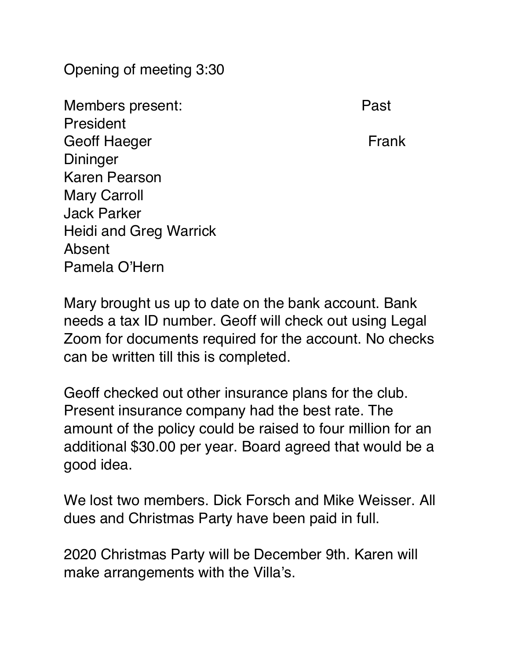Opening of meeting 3:30

Members present: Past President Geoff Haeger **Frank Dininger** Karen Pearson Mary Carroll Jack Parker Heidi and Greg Warrick Absent Pamela O'Hern

Mary brought us up to date on the bank account. Bank needs a tax ID number. Geoff will check out using Legal Zoom for documents required for the account. No checks can be written till this is completed.

Geoff checked out other insurance plans for the club. Present insurance company had the best rate. The amount of the policy could be raised to four million for an additional \$30.00 per year. Board agreed that would be a good idea.

We lost two members. Dick Forsch and Mike Weisser. All dues and Christmas Party have been paid in full.

2020 Christmas Party will be December 9th. Karen will make arrangements with the Villa's.